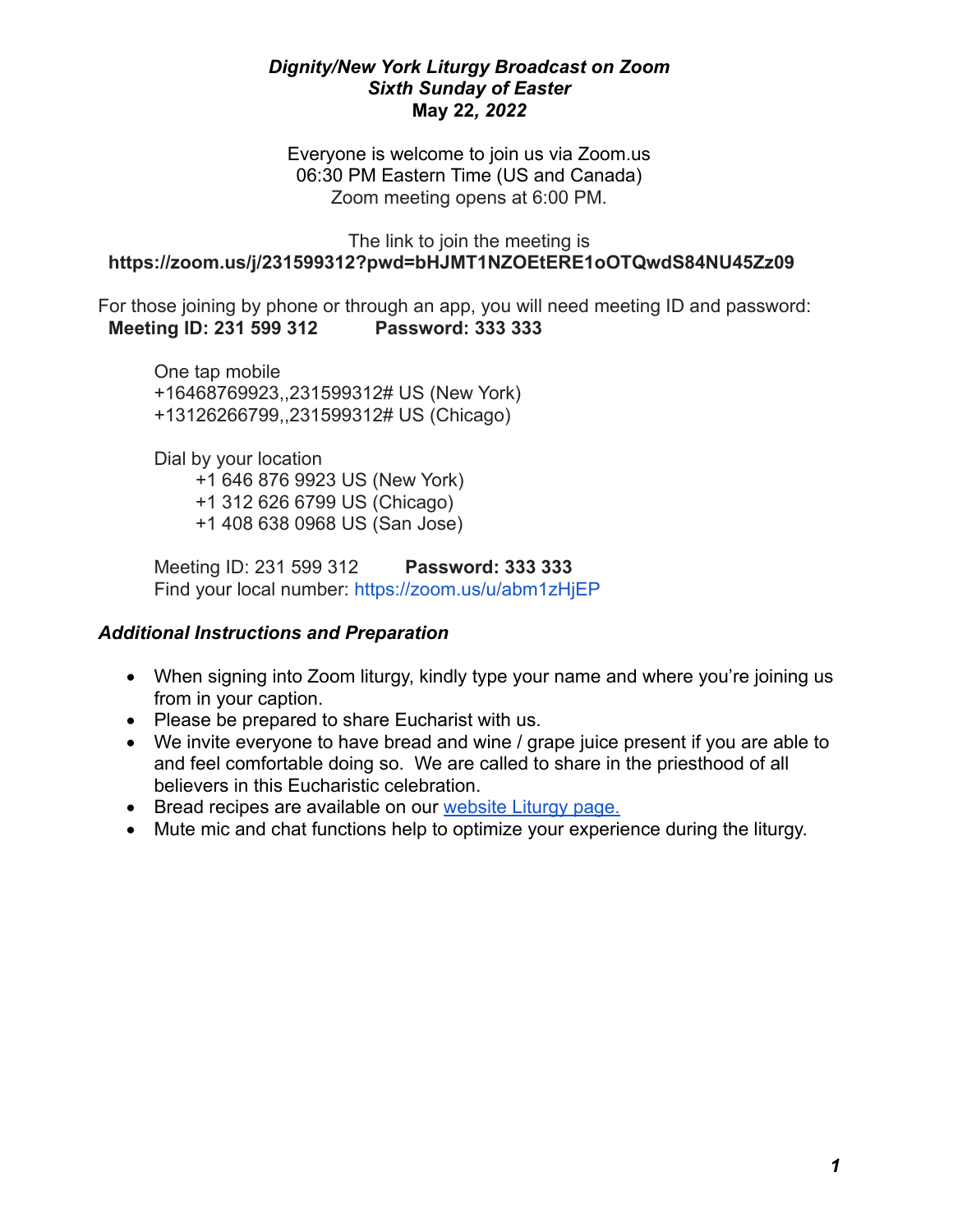### *Dignity/New York Liturgy Broadcast on Zoom Sixth Sunday of Easter* **May 22***, 2022*

Everyone is welcome to join us via Zoom.us 06:30 PM Eastern Time (US and Canada) Zoom meeting opens at 6:00 PM.

#### The link to join the meeting is  **<https://zoom.us/j/231599312?pwd=bHJMT1NZOEtERE1oOTQwdS84NU45Zz09>**

For those joining by phone or through an app, you will need meeting ID and password:  **Meeting ID: 231 599 312 Password: 333 333**

One tap mobile +16468769923,,231599312# US (New York) +13126266799,,231599312# US (Chicago)

Dial by your location +1 646 876 9923 US (New York) +1 312 626 6799 US (Chicago) +1 408 638 0968 US (San Jose)

Meeting ID: 231 599 312 **Password: 333 333** Find your local number: <https://zoom.us/u/abm1zHjEP>

## *Additional Instructions and Preparation*

- When signing into Zoom liturgy, kindly type your name and where you're joining us from in your caption.
- Please be prepared to share Eucharist with us.
- We invite everyone to have bread and wine / grape juice present if you are able to and feel comfortable doing so. We are called to share in the priesthood of all believers in this Eucharistic celebration.
- Bread recipes are available on our [website Liturgy page.](http://www.dignityny.org/content/liturgy-0)
- Mute mic and chat functions help to optimize your experience during the liturgy.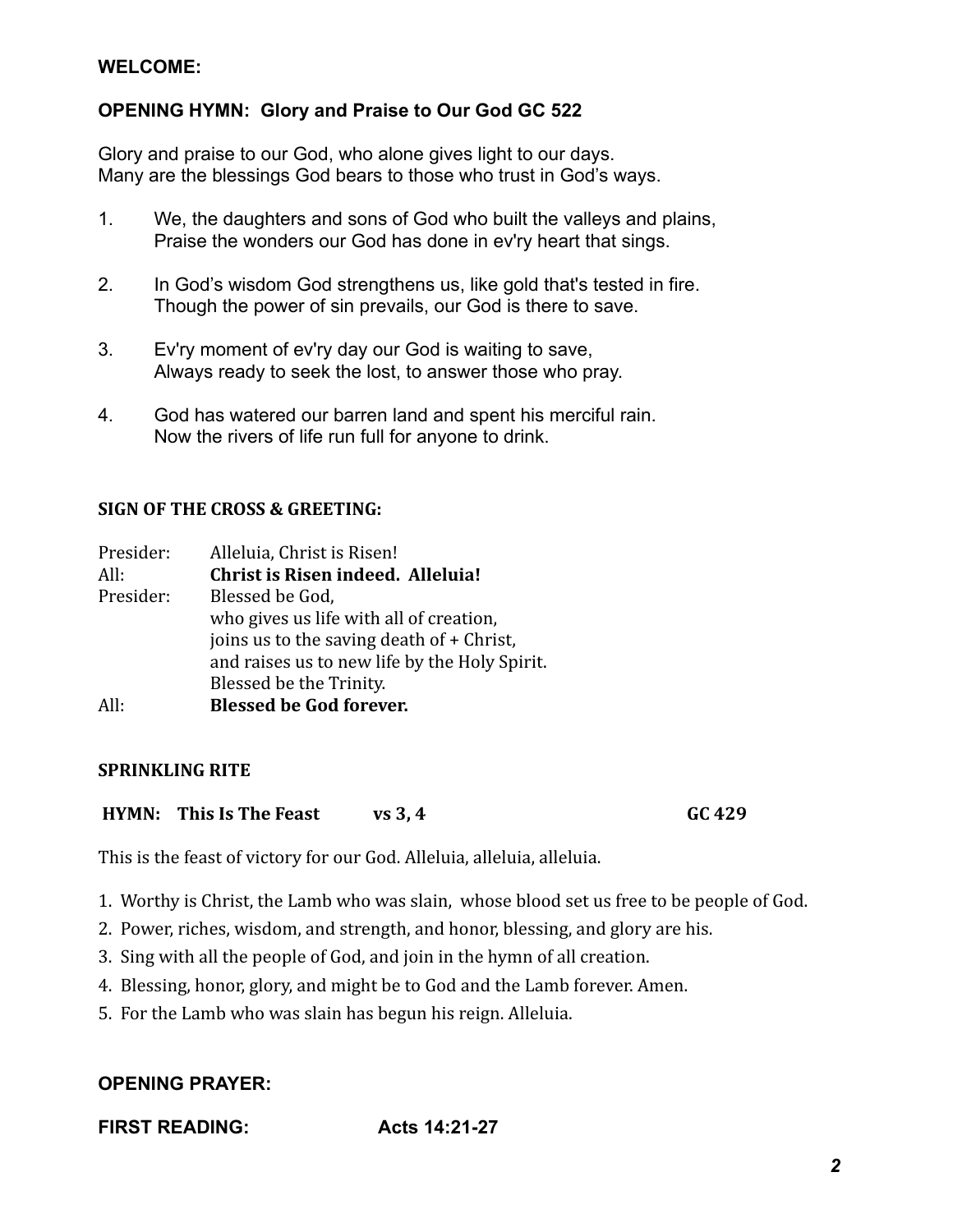## **WELCOME:**

## **OPENING HYMN: Glory and Praise to Our God GC 522**

Glory and praise to our God, who alone gives light to our days. Many are the blessings God bears to those who trust in God's ways.

- 1. We, the daughters and sons of God who built the valleys and plains, Praise the wonders our God has done in ev'ry heart that sings.
- 2. In God's wisdom God strengthens us, like gold that's tested in fire. Though the power of sin prevails, our God is there to save.
- 3. Ev'ry moment of ev'ry day our God is waiting to save, Always ready to seek the lost, to answer those who pray.
- 4. God has watered our barren land and spent his merciful rain. Now the rivers of life run full for anyone to drink.

#### **SIGN OF THE CROSS & GREETING:**

| Presider: | Alleluia, Christ is Risen!                    |
|-----------|-----------------------------------------------|
| All:      | Christ is Risen indeed. Alleluia!             |
| Presider: | Blessed be God,                               |
|           | who gives us life with all of creation,       |
|           | joins us to the saving death of + Christ,     |
|           | and raises us to new life by the Holy Spirit. |
|           | Blessed be the Trinity.                       |
| All:      | <b>Blessed be God forever.</b>                |

#### **SPRINKLING RITE**

**HYMN:** This Is The Feast  $vs 3, 4$  GC 429

This is the feast of victory for our God. Alleluia, alleluia, alleluia.

- 1. Worthy is Christ, the Lamb who was slain, whose blood set us free to be people of God.
- 2. Power, riches, wisdom, and strength, and honor, blessing, and glory are his.
- 3. Sing with all the people of God, and join in the hymn of all creation.
- 4. Blessing, honor, glory, and might be to God and the Lamb forever. Amen.
- 5. For the Lamb who was slain has begun his reign. Alleluia.

## **OPENING PRAYER:**

**FIRST READING:** Acts 14:21-27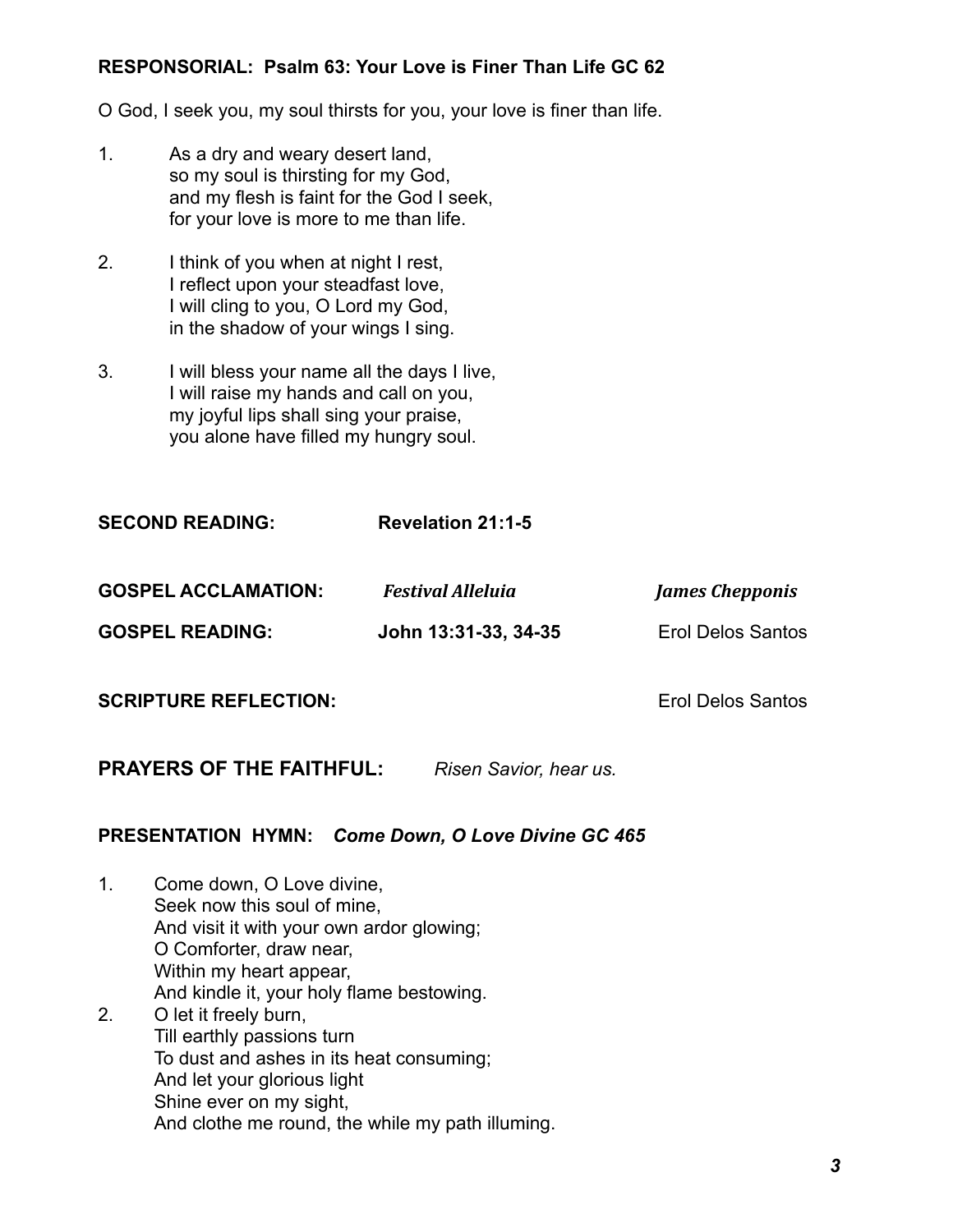## **RESPONSORIAL: Psalm 63: Your Love is Finer Than Life GC 62**

O God, I seek you, my soul thirsts for you, your love is finer than life.

- 1. As a dry and weary desert land, so my soul is thirsting for my God, and my flesh is faint for the God I seek, for your love is more to me than life.
- 2. I think of you when at night I rest, I reflect upon your steadfast love, I will cling to you, O Lord my God, in the shadow of your wings I sing.
- 3. I will bless your name all the days I live, I will raise my hands and call on you, my joyful lips shall sing your praise, you alone have filled my hungry soul.

**SECOND READING: Revelation 21:1-5**  GOSPEL ACCLAMATION: Festival Alleluia *Iames Chepponis* **GOSPEL READING: John 13:31-33, 34-35** Erol Delos Santos

**SCRIPTURE REFLECTION:**  $\qquad \qquad$  Erol Delos Santos

**PRAYERS OF THE FAITHFUL:** *Risen Savior, hear us.*

## **PRESENTATION HYMN:** *Come Down, O Love Divine GC 465*

1. Come down, O Love divine, Seek now this soul of mine, And visit it with your own ardor glowing; O Comforter, draw near, Within my heart appear, And kindle it, your holy flame bestowing. 2. O let it freely burn, Till earthly passions turn To dust and ashes in its heat consuming; And let your glorious light Shine ever on my sight, And clothe me round, the while my path illuming.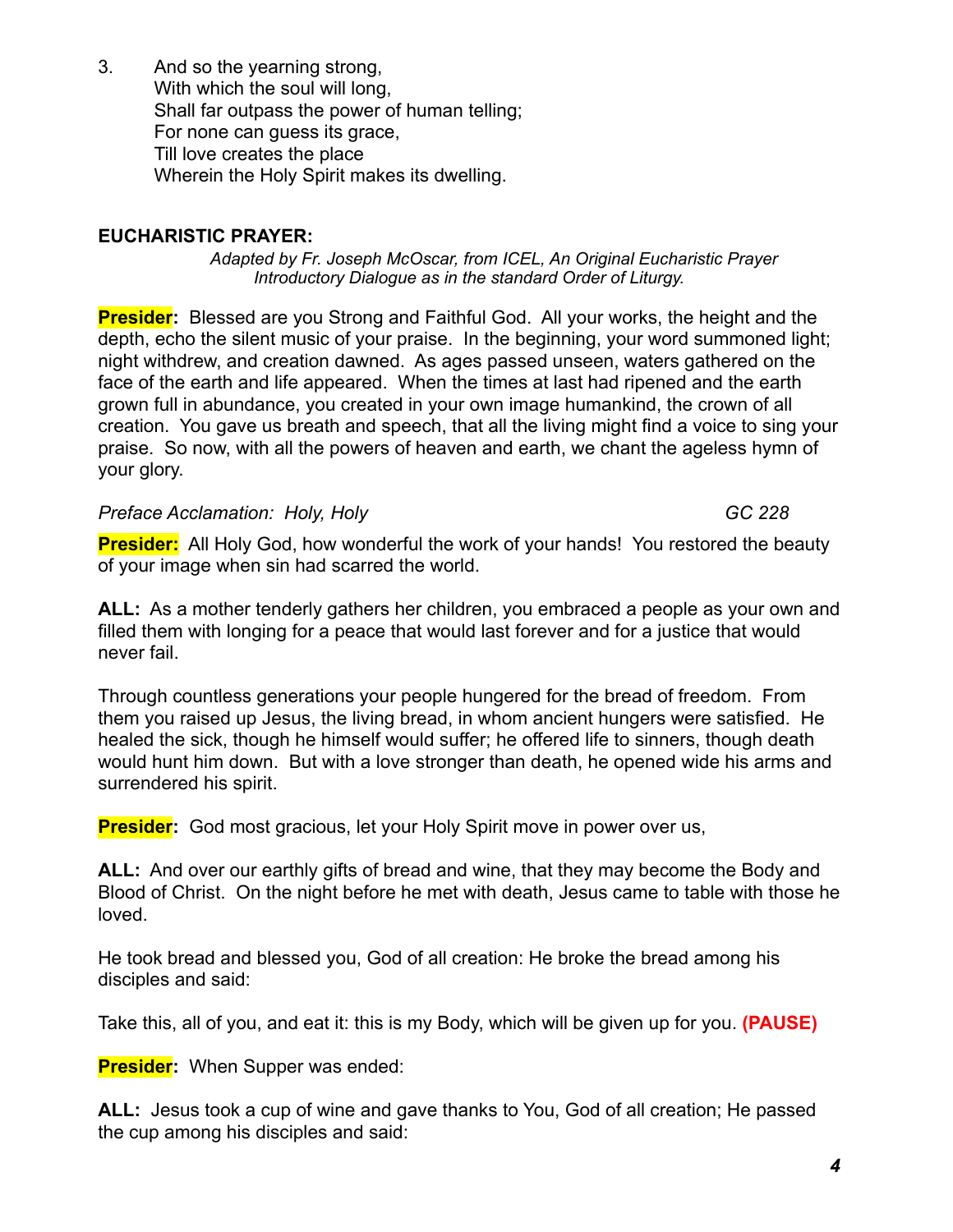3. And so the yearning strong, With which the soul will long, Shall far outpass the power of human telling; For none can guess its grace, Till love creates the place Wherein the Holy Spirit makes its dwelling.

## **EUCHARISTIC PRAYER:**

*Adapted by Fr. Joseph McOscar, from ICEL, An Original Eucharistic Prayer Introductory Dialogue as in the standard Order of Liturgy.*

**Presider:** Blessed are you Strong and Faithful God. All your works, the height and the depth, echo the silent music of your praise. In the beginning, your word summoned light; night withdrew, and creation dawned. As ages passed unseen, waters gathered on the face of the earth and life appeared. When the times at last had ripened and the earth grown full in abundance, you created in your own image humankind, the crown of all creation. You gave us breath and speech, that all the living might find a voice to sing your praise. So now, with all the powers of heaven and earth, we chant the ageless hymn of your glory.

**Preface Acclamation: Holy, Holy GC 228** 

**Presider:** All Holy God, how wonderful the work of your hands! You restored the beauty of your image when sin had scarred the world.

**ALL:** As a mother tenderly gathers her children, you embraced a people as your own and filled them with longing for a peace that would last forever and for a justice that would never fail.

Through countless generations your people hungered for the bread of freedom. From them you raised up Jesus, the living bread, in whom ancient hungers were satisfied. He healed the sick, though he himself would suffer; he offered life to sinners, though death would hunt him down. But with a love stronger than death, he opened wide his arms and surrendered his spirit.

**Presider:** God most gracious, let your Holy Spirit move in power over us,

**ALL:** And over our earthly gifts of bread and wine, that they may become the Body and Blood of Christ. On the night before he met with death, Jesus came to table with those he loved.

He took bread and blessed you, God of all creation: He broke the bread among his disciples and said:

Take this, all of you, and eat it: this is my Body, which will be given up for you. **(PAUSE)**

**Presider:** When Supper was ended:

**ALL:** Jesus took a cup of wine and gave thanks to You, God of all creation; He passed the cup among his disciples and said: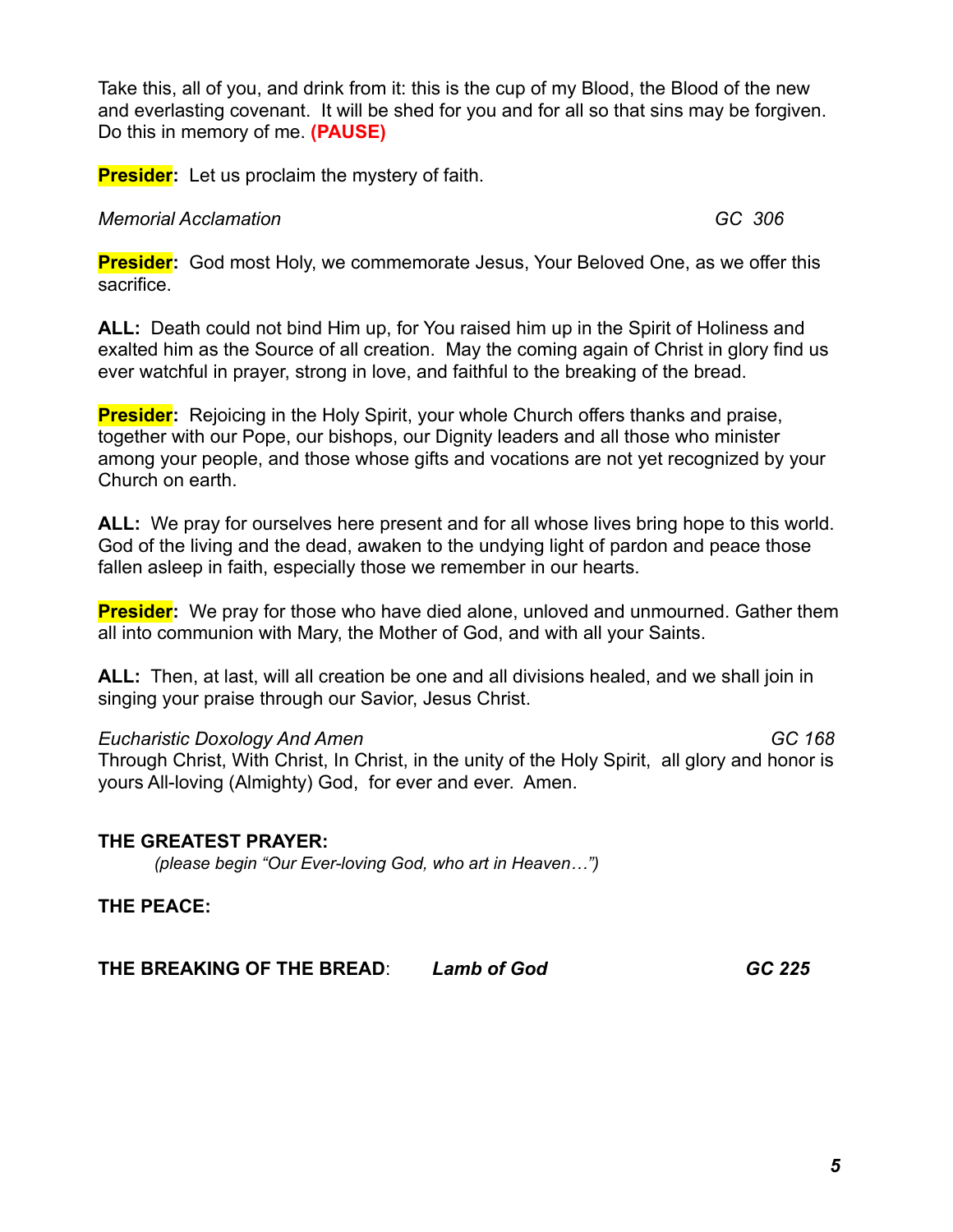Take this, all of you, and drink from it: this is the cup of my Blood, the Blood of the new and everlasting covenant. It will be shed for you and for all so that sins may be forgiven. Do this in memory of me. **(PAUSE)**

**Presider:** Let us proclaim the mystery of faith.

### *Memorial Acclamation GC 306*

**Presider:** God most Holy, we commemorate Jesus, Your Beloved One, as we offer this sacrifice.

**ALL:** Death could not bind Him up, for You raised him up in the Spirit of Holiness and exalted him as the Source of all creation. May the coming again of Christ in glory find us ever watchful in prayer, strong in love, and faithful to the breaking of the bread.

**Presider:** Rejoicing in the Holy Spirit, your whole Church offers thanks and praise, together with our Pope, our bishops, our Dignity leaders and all those who minister among your people, and those whose gifts and vocations are not yet recognized by your Church on earth.

**ALL:** We pray for ourselves here present and for all whose lives bring hope to this world. God of the living and the dead, awaken to the undying light of pardon and peace those fallen asleep in faith, especially those we remember in our hearts.

**Presider:** We pray for those who have died alone, unloved and unmourned. Gather them all into communion with Mary, the Mother of God, and with all your Saints.

**ALL:** Then, at last, will all creation be one and all divisions healed, and we shall join in singing your praise through our Savior, Jesus Christ.

### *Eucharistic Doxology And Amen GC 168*

Through Christ, With Christ, In Christ, in the unity of the Holy Spirit, all glory and honor is yours All-loving (Almighty) God, for ever and ever. Amen.

## **THE GREATEST PRAYER:**

*(please begin "Our Ever-loving God, who art in Heaven…")*

**THE PEACE:**

**THE BREAKING OF THE BREAD**: *Lamb of God GC 225*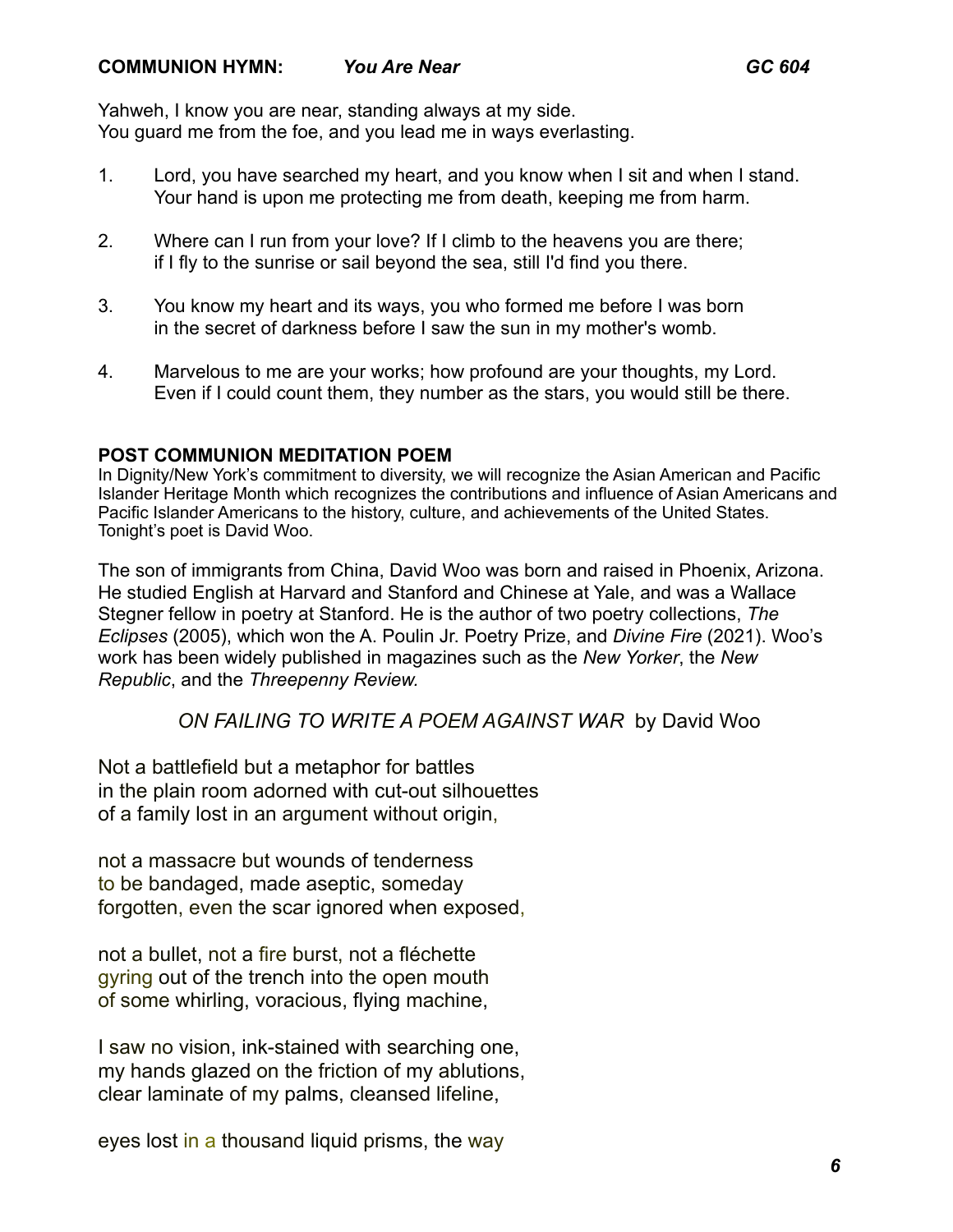Yahweh, I know you are near, standing always at my side. You guard me from the foe, and you lead me in ways everlasting.

- 1. Lord, you have searched my heart, and you know when I sit and when I stand. Your hand is upon me protecting me from death, keeping me from harm.
- 2. Where can I run from your love? If I climb to the heavens you are there; if I fly to the sunrise or sail beyond the sea, still I'd find you there.
- 3. You know my heart and its ways, you who formed me before I was born in the secret of darkness before I saw the sun in my mother's womb.
- 4. Marvelous to me are your works; how profound are your thoughts, my Lord. Even if I could count them, they number as the stars, you would still be there.

## **POST COMMUNION MEDITATION POEM**

In Dignity/New York's commitment to diversity, we will recognize the Asian American and Pacific Islander Heritage Month which recognizes the contributions and influence of Asian Americans and Pacific Islander Americans to the history, culture, and achievements of the United States. Tonight's poet is David Woo.

The son of immigrants from China, David Woo was born and raised in Phoenix, Arizona. He studied English at Harvard and Stanford and Chinese at Yale, and was a Wallace Stegner fellow in poetry at Stanford. He is the author of two poetry collections, *The Eclipses* (2005), which won the A. Poulin Jr. Poetry Prize, and *Divine Fire* (2021). Woo's work has been widely published in magazines such as the *New Yorker*, the *New Republic*, and the *Threepenny Review.*

# *ON FAILING TO WRITE A POEM AGAINST WAR* by David Woo

Not a battlefield but a metaphor for battles in the plain room adorned with cut-out silhouettes of a family lost in an argument without origin,

not a massacre but wounds of tenderness to be bandaged, made aseptic, someday forgotten, even the scar ignored when exposed,

not a bullet, not a fire burst, not a fléchette gyring out of the trench into the open mouth of some whirling, voracious, flying machine,

I saw no vision, ink-stained with searching one, my hands glazed on the friction of my ablutions, clear laminate of my palms, cleansed lifeline,

eyes lost in a thousand liquid prisms, the way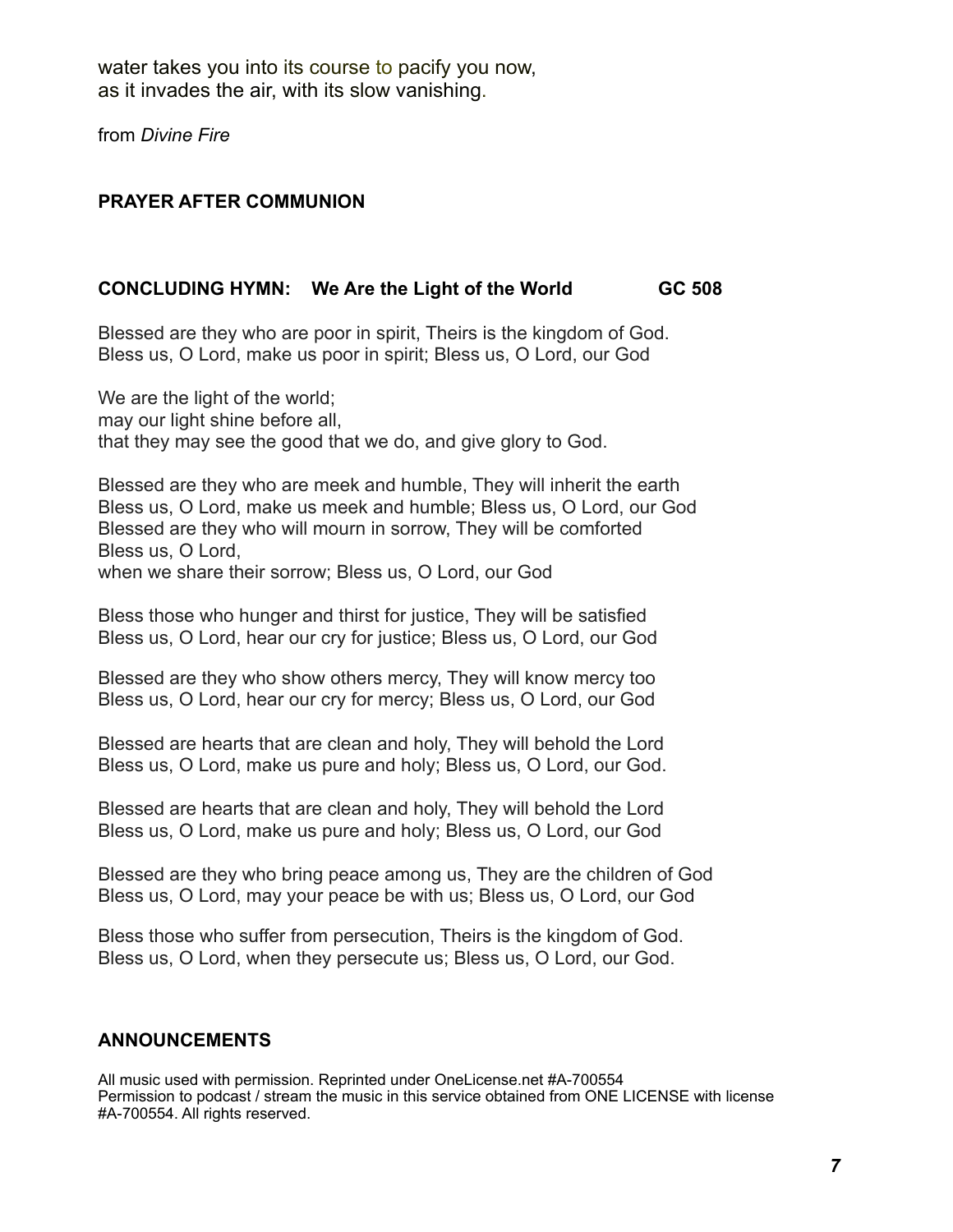water takes you into its course to pacify you now, as it invades the air, with its slow vanishing.

from *Divine Fire* 

## **PRAYER AFTER COMMUNION**

## **CONCLUDING HYMN: We Are the Light of the World GC 508**

Blessed are they who are poor in spirit, Theirs is the kingdom of God. Bless us, O Lord, make us poor in spirit; Bless us, O Lord, our God

We are the light of the world; may our light shine before all, that they may see the good that we do, and give glory to God.

Blessed are they who are meek and humble, They will inherit the earth Bless us, O Lord, make us meek and humble; Bless us, O Lord, our God Blessed are they who will mourn in sorrow, They will be comforted Bless us, O Lord, when we share their sorrow; Bless us, O Lord, our God

Bless those who hunger and thirst for justice, They will be satisfied Bless us, O Lord, hear our cry for justice; Bless us, O Lord, our God

Blessed are they who show others mercy, They will know mercy too Bless us, O Lord, hear our cry for mercy; Bless us, O Lord, our God

Blessed are hearts that are clean and holy, They will behold the Lord Bless us, O Lord, make us pure and holy; Bless us, O Lord, our God.

Blessed are hearts that are clean and holy, They will behold the Lord Bless us, O Lord, make us pure and holy; Bless us, O Lord, our God

Blessed are they who bring peace among us, They are the children of God Bless us, O Lord, may your peace be with us; Bless us, O Lord, our God

Bless those who suffer from persecution, Theirs is the kingdom of God. Bless us, O Lord, when they persecute us; Bless us, O Lord, our God.

## **ANNOUNCEMENTS**

All music used with permission. Reprinted under OneLicense.net #A-700554 Permission to podcast / stream the music in this service obtained from ONE LICENSE with license #A-700554. All rights reserved.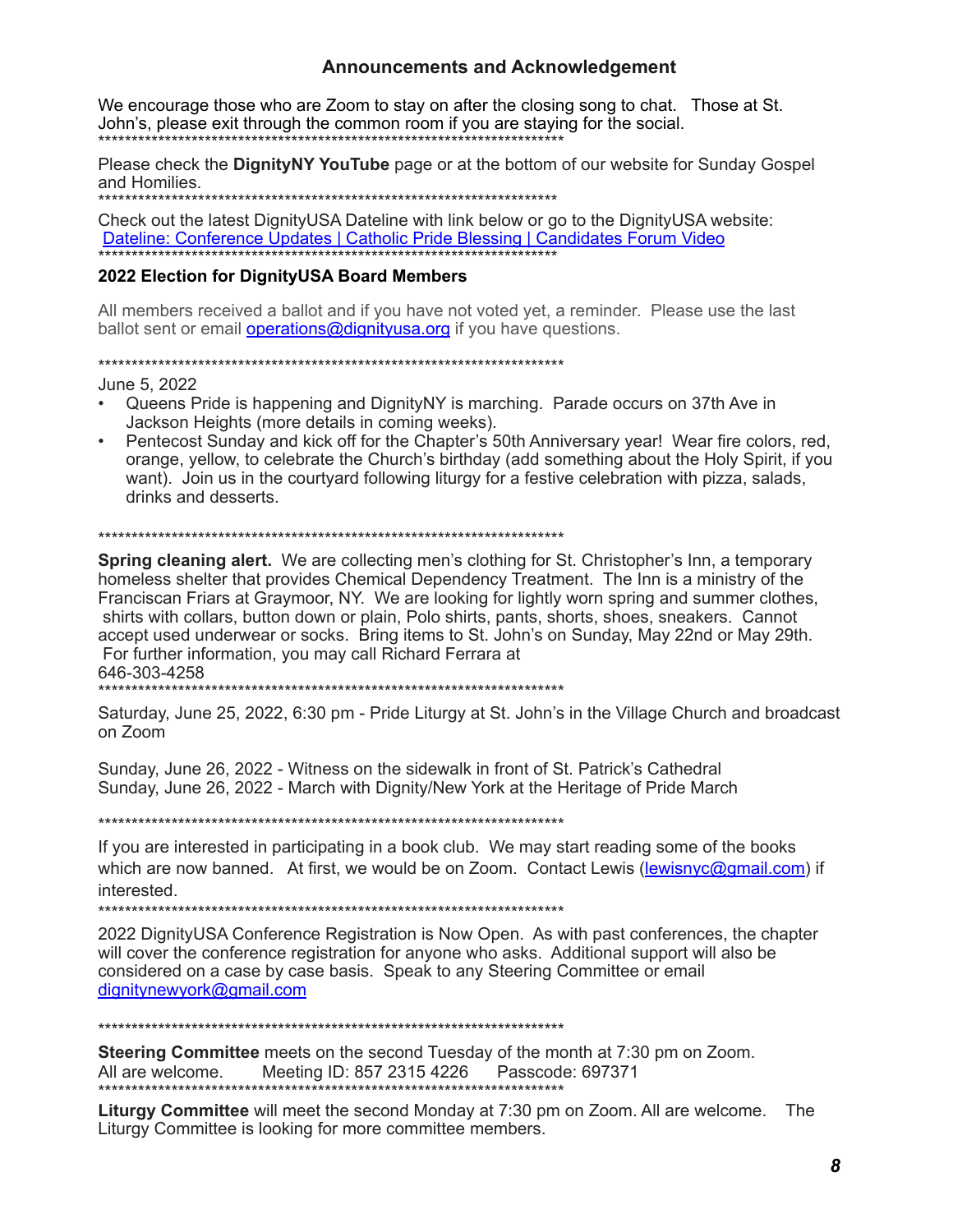#### **Announcements and Acknowledgement**

We encourage those who are Zoom to stay on after the closing song to chat. Those at St. John's, please exit through the common room if you are staying for the social. \*\*\*\*\*\*\*\*\*\*\*\*\*

Please check the DignityNY YouTube page or at the bottom of our website for Sunday Gospel and Homilies.

Check out the latest DignityUSA Dateline with link below or go to the DignityUSA website: Dateline: Conference Updates | Catholic Pride Blessing | Candidates Forum Video

#### 2022 Election for DignityUSA Board Members

All members received a ballot and if you have not voted yet, a reminder. Please use the last ballot sent or email operations@dignityusa.org if you have questions.

June 5, 2022

- Queens Pride is happening and DignityNY is marching. Parade occurs on 37th Ave in Jackson Heights (more details in coming weeks).
- Pentecost Sunday and kick off for the Chapter's 50th Anniversary year! Wear fire colors, red, orange, yellow, to celebrate the Church's birthday (add something about the Holy Spirit, if you want). Join us in the courtyard following liturgy for a festive celebration with pizza, salads, drinks and desserts.

#### 

**Spring cleaning alert.** We are collecting men's clothing for St. Christopher's lnn, a temporary homeless shelter that provides Chemical Dependency Treatment. The Inn is a ministry of the Franciscan Friars at Graymoor, NY. We are looking for lightly worn spring and summer clothes, shirts with collars, button down or plain, Polo shirts, pants, shorts, shoes, sneakers. Cannot accept used underwear or socks. Bring items to St. John's on Sunday, May 22nd or May 29th. For further information, you may call Richard Ferrara at 646-303-4258 

Saturday, June 25, 2022, 6:30 pm - Pride Liturgy at St. John's in the Village Church and broadcast

on Zoom

Sunday, June 26, 2022 - Witness on the sidewalk in front of St. Patrick's Cathedral Sunday, June 26, 2022 - March with Dignity/New York at the Heritage of Pride March

If you are interested in participating in a book club. We may start reading some of the books which are now banned. At first, we would be on Zoom. Contact Lewis (lewisnyc@gmail.com) if interested.

\*\*\*\*\*\*\*\*\*\*\*\*\*\*\*

2022 DignityUSA Conference Registration is Now Open. As with past conferences, the chapter will cover the conference registration for anyone who asks. Additional support will also be considered on a case by case basis. Speak to any Steering Committee or email dignitynewyork@gmail.com

Steering Committee meets on the second Tuesday of the month at 7:30 pm on Zoom. Meeting ID: 857 2315 4226 Passcode: 697371 All are welcome

Liturgy Committee will meet the second Monday at 7:30 pm on Zoom. All are welcome. The Liturgy Committee is looking for more committee members.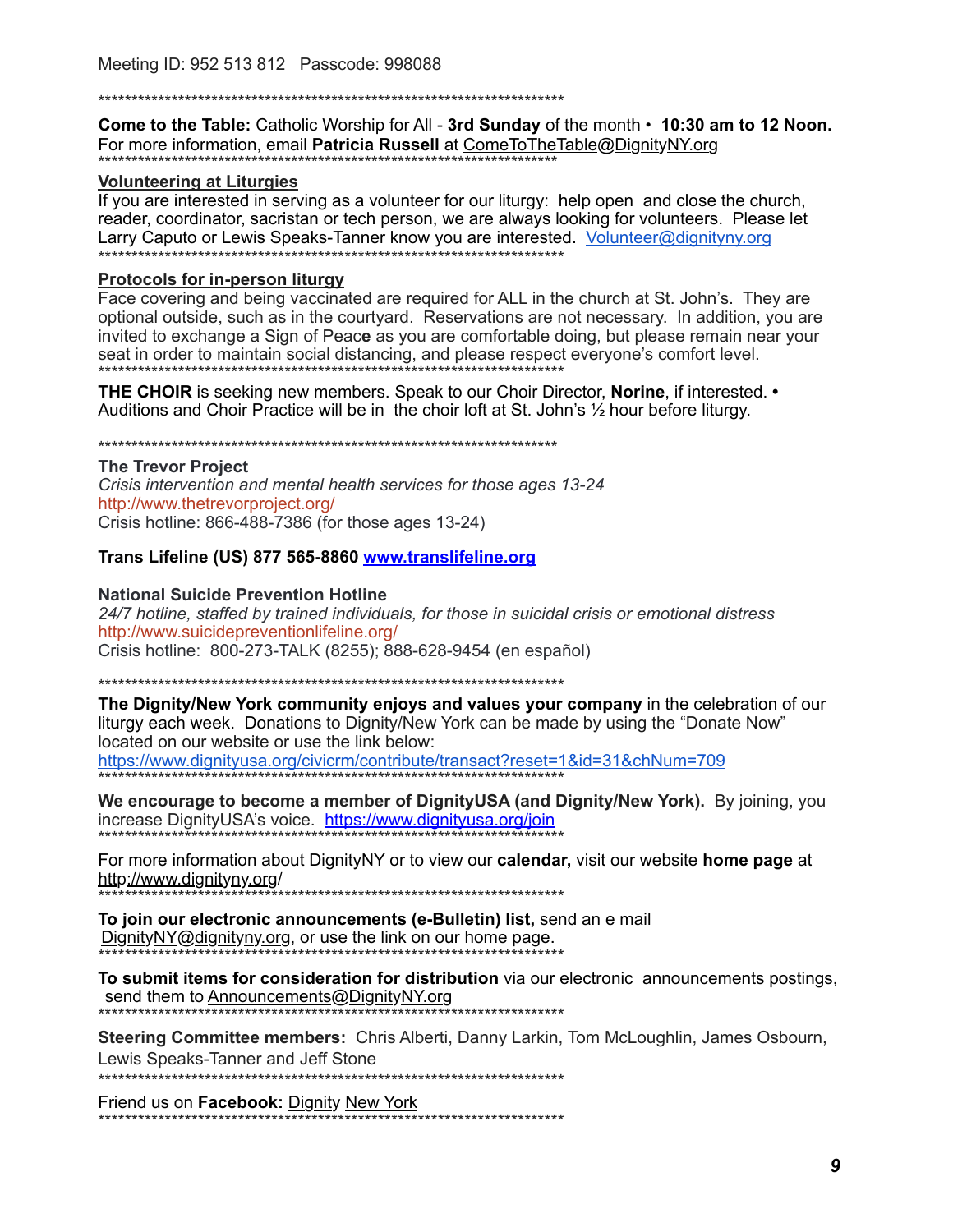**Come to the Table:** Catholic Worship for All - 3rd Sunday of the month  $\cdot$  10:30 am to 12 Noon. For more information, email Patricia Russell at ComeToTheTable@DignityNY.org

#### **Volunteering at Liturgies**

If you are interested in serving as a volunteer for our liturgy: help open and close the church, reader, coordinator, sacristan or tech person, we are always looking for volunteers. Please let Larry Caputo or Lewis Speaks-Tanner know you are interested. Volunteer@dignityny.org \*\*\*\*\*\*\*\*\*\*\*\*\*\*\*\*\*\*\*\*\*\*\*\*\*\*\*\*\*\*\*\*\*\*

#### **Protocols for in-person liturgy**

Face covering and being vaccinated are required for ALL in the church at St. John's. They are optional outside, such as in the courtyard. Reservations are not necessary. In addition, you are invited to exchange a Sign of Peace as you are comfortable doing, but please remain near your seat in order to maintain social distancing, and please respect everyone's comfort level. 

**THE CHOIR** is seeking new members. Speak to our Choir Director, **Norine**, if interested. • Auditions and Choir Practice will be in the choir loft at St. John's 1/2 hour before liturgy.

**The Trevor Project** Crisis intervention and mental health services for those ages 13-24 http://www.thetrevorproject.org/ Crisis hotline: 866-488-7386 (for those ages 13-24)

#### Trans Lifeline (US) 877 565-8860 www.translifeline.org

#### **National Suicide Prevention Hotline**

24/7 hotline, staffed by trained individuals, for those in suicidal crisis or emotional distress http://www.suicidepreventionlifeline.org/ Crisis hotline: 800-273-TALK (8255); 888-628-9454 (en español)

The Dignity/New York community enjoys and values your company in the celebration of our liturgy each week. Donations to Dignity/New York can be made by using the "Donate Now" located on our website or use the link below: https://www.dignityusa.org/civicrm/contribute/transact?reset=1&id=31&chNum=709

We encourage to become a member of DignityUSA (and Dignity/New York). By joining, you increase DignityUSA's voice. https://www.dignityusa.org/join

For more information about DignityNY or to view our calendar, visit our website home page at http://www.dignityny.org/ \*\*\*\*\*\*\*\*\*\*\*\*\*\*\*\*\*\*\*\*\*\*\*\*\*\*

To join our electronic announcements (e-Bulletin) list, send an e mail DignityNY@dignityny.org, or use the link on our home page.

To submit items for consideration for distribution via our electronic announcements postings, send them to Announcements@DignityNY.org \*\*\*\*\*\*\*\*\*\*\*\*\*\*\*\*\*\*\*\*\*\*\*\*\*\*\*\*\*\*\*\*\*

Steering Committee members: Chris Alberti, Danny Larkin, Tom McLoughlin, James Osbourn,

Lewis Speaks-Tanner and Jeff Stone

Friend us on Facebook: Dignity New York \_<br>\*\*\*\*\*\*\*\*\*\*\*\*\*\*\*\*\*\*\*\*\*\*\*\*